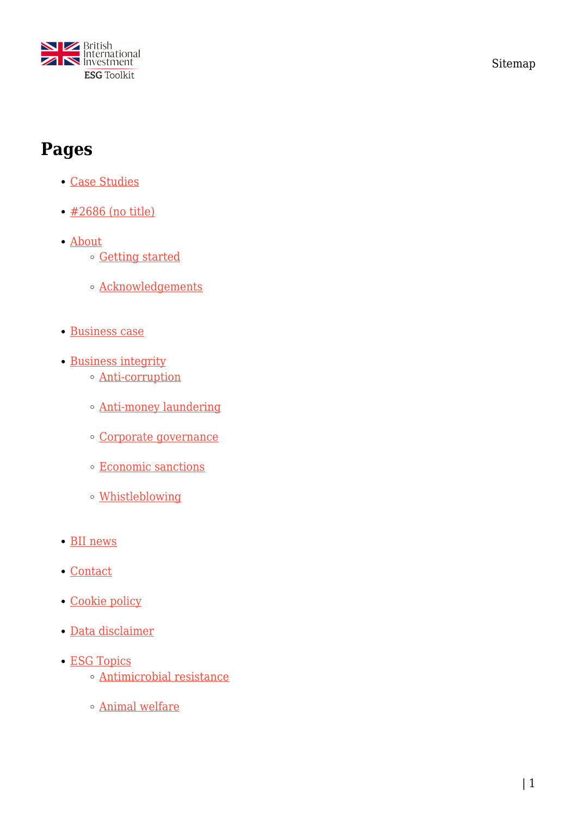

Sitemap

## **Pages**

- [Case Studies](https://toolkit.bii.co.uk/case-studies/)
- [#2686 \(no title\)](https://toolkit.bii.co.uk/2686-2/)
- [About](https://toolkit.bii.co.uk/about-this-toolkit/)
	- [Getting started](https://toolkit.bii.co.uk/about-this-toolkit/getting-started/)
	- [Acknowledgements](https://toolkit.bii.co.uk/about-this-toolkit/acknowledgements/)
- [Business case](https://toolkit.bii.co.uk/business-case/)
- [Business integrity](https://toolkit.bii.co.uk/business-integrity/)
	- [Anti-corruption](https://toolkit.bii.co.uk/business-integrity/anti-corruption/)
	- [Anti-money laundering](https://toolkit.bii.co.uk/business-integrity/anti-money-laundering/)
	- [Corporate governance](https://toolkit.bii.co.uk/business-integrity/corporate-governance/)
	- [Economic sanctions](https://toolkit.bii.co.uk/business-integrity/economic-sanctions/)
	- [Whistleblowing](https://toolkit.bii.co.uk/business-integrity/whistleblowing/)
- [BII news](https://toolkit.bii.co.uk/cdc-news/)
- [Contact](https://toolkit.bii.co.uk/contact/)
- [Cookie policy](https://toolkit.bii.co.uk/cookie-policy/)
- [Data disclaimer](https://toolkit.bii.co.uk/data-disclaimer/)
- [ESG Topics](https://toolkit.bii.co.uk/esg-topics/)
	- [Antimicrobial resistance](https://toolkit.bii.co.uk/esg-topics/antimicrobial-resistance/)
	- [Animal welfare](https://toolkit.bii.co.uk/esg-topics/animal-welfare/)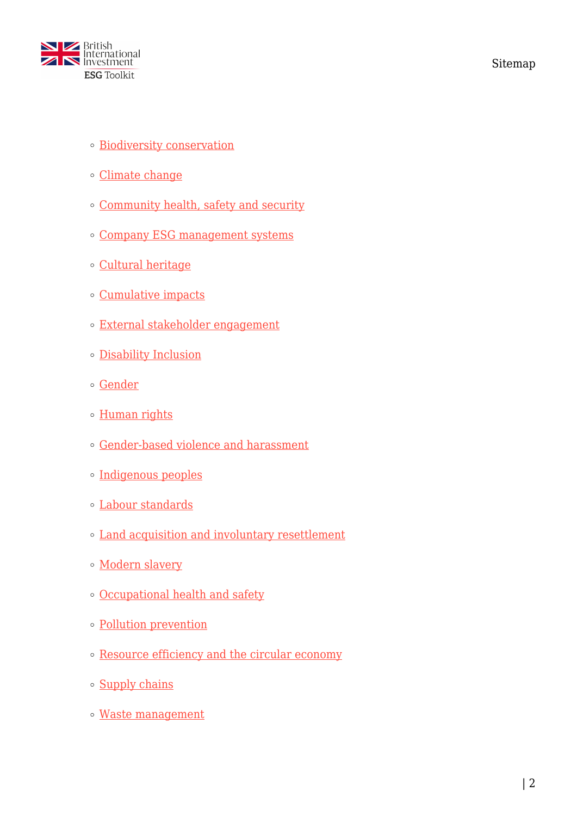

- **[Biodiversity conservation](https://toolkit.bii.co.uk/esg-topics/biodiversity-conservation/)**
- [Climate change](https://toolkit.bii.co.uk/esg-topics/climate-change/)
- [Community health, safety and security](https://toolkit.bii.co.uk/esg-topics/community-health-safety-security/)
- [Company ESG management systems](https://toolkit.bii.co.uk/esg-topics/company-esms/)
- [Cultural heritage](https://toolkit.bii.co.uk/esg-topics/cultural-heritage/)
- [Cumulative impacts](https://toolkit.bii.co.uk/esg-topics/cumulative-impacts/)
- [External stakeholder engagement](https://toolkit.bii.co.uk/esg-topics/external-stakeholder-engagement/)
- [Disability Inclusion](https://toolkit.bii.co.uk/es-topics/disability-inclusion/)
- [Gender](https://toolkit.bii.co.uk/esg-topics/gender/)
- o [Human rights](https://toolkit.bii.co.uk/esg-topics/human-rights/)
- [Gender-based violence and harassment](https://toolkit.bii.co.uk/esg-topics/gender-based-violence-and-harassment/)
- [Indigenous peoples](https://toolkit.bii.co.uk/esg-topics/indigenous-peoples/)
- [Labour standards](https://toolkit.bii.co.uk/esg-topics/labour-standards/)
- [Land acquisition and involuntary resettlement](https://toolkit.bii.co.uk/esg-topics/land-acquisition/)
- o [Modern slavery](https://toolkit.bii.co.uk/es-topics/managing-the-risk-of-modern-slavery/)
- [Occupational health and safety](https://toolkit.bii.co.uk/esg-topics/occupational-health-and-safety/)
- [Pollution prevention](https://toolkit.bii.co.uk/esg-topics/pollution-prevention/)
- [Resource efficiency and the circular economy](https://toolkit.bii.co.uk/esg-topics/resource-efficiency/)
- o [Supply chains](https://toolkit.bii.co.uk/esg-topics/supply-chains/)
- [Waste management](https://toolkit.bii.co.uk/esg-topics/waste-management/)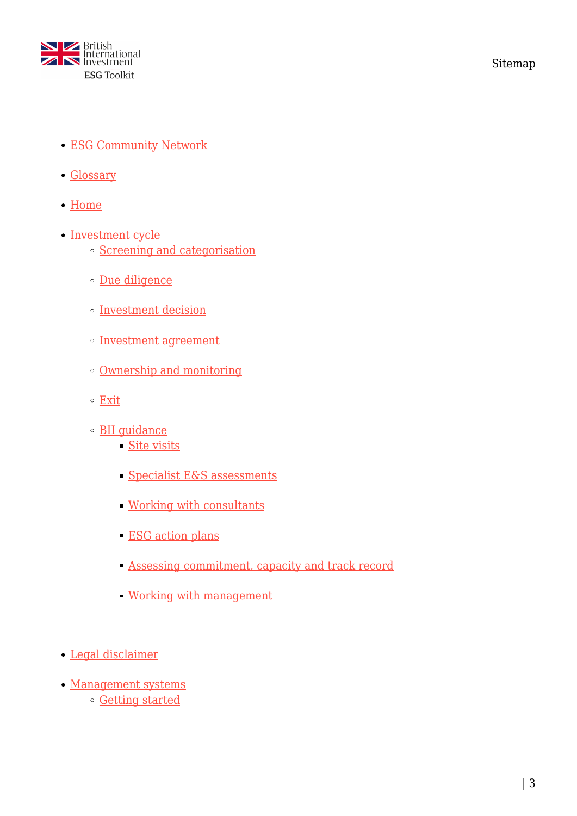

Sitemap

- [ESG Community Network](https://toolkit.bii.co.uk/esg-community-network/)
- [Glossary](https://toolkit.bii.co.uk/glossary/)
- [Home](https://toolkit.bii.co.uk/)
- [Investment cycle](https://toolkit.bii.co.uk/investment-cycle/)
	- [Screening and categorisation](https://toolkit.bii.co.uk/investment-cycle/screening-and-categorisation/)
	- [Due diligence](https://toolkit.bii.co.uk/investment-cycle/due-diligence/)
	- o [Investment decision](https://toolkit.bii.co.uk/investment-cycle/investment-decision/)
	- o [Investment agreement](https://toolkit.bii.co.uk/investment-cycle/investment-agreement/)
	- [Ownership and monitoring](https://toolkit.bii.co.uk/investment-cycle/ownership-and-monitoring/)
	- [Exit](https://toolkit.bii.co.uk/investment-cycle/exit/)
	- [BII guidance](https://toolkit.bii.co.uk/investment-cycle/cdc-guidance/)
		- [Site visits](https://toolkit.bii.co.uk/investment-cycle/cdc-guidance/site-visits/)
		- [Specialist E&S assessments](https://toolkit.bii.co.uk/investment-cycle/cdc-guidance/es-assessments/)
		- [Working with consultants](https://toolkit.bii.co.uk/investment-cycle/cdc-guidance/consultants/)
		- **ESG** action plans
		- [Assessing commitment, capacity and track record](https://toolkit.bii.co.uk/investment-cycle/cdc-guidance/commitment/)
		- [Working with management](https://toolkit.bii.co.uk/investment-cycle/cdc-guidance/management/)
- [Legal disclaimer](https://toolkit.bii.co.uk/legal-disclaimer/)
- [Management systems](https://toolkit.bii.co.uk/management-systems/) [Getting started](https://toolkit.bii.co.uk/management-systems/getting-started/)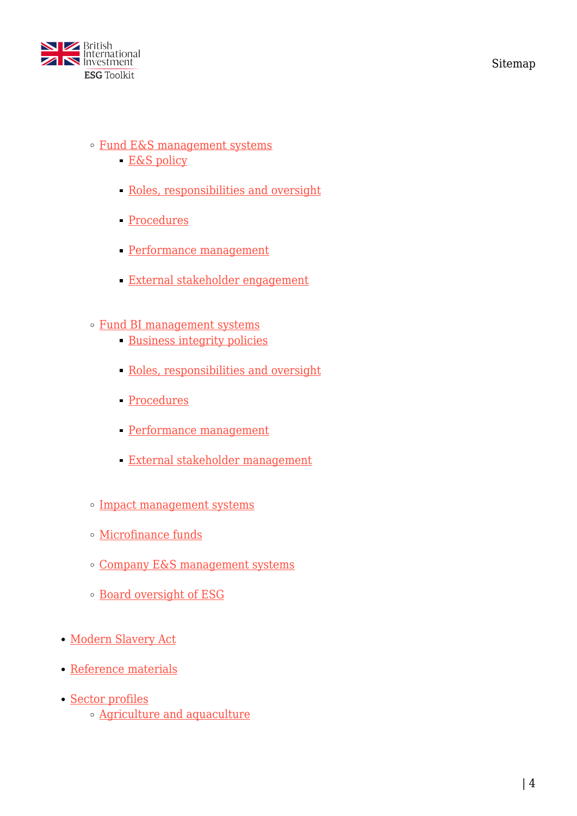

- [Fund E&S management systems](https://toolkit.bii.co.uk/management-systems/fund-esms/)
	- [E&S policy](https://toolkit.bii.co.uk/management-systems/fund-esms/es-policy/)
	- [Roles, responsibilities and oversight](https://toolkit.bii.co.uk/management-systems/fund-esms/responsibilities/)
	- [Procedures](https://toolkit.bii.co.uk/management-systems/fund-esms/procedures/)
	- [Performance management](https://toolkit.bii.co.uk/management-systems/fund-esms/performance/)
	- [External stakeholder engagement](https://toolkit.bii.co.uk/management-systems/fund-esms/stakeholders/)
- [Fund BI management systems](https://toolkit.bii.co.uk/management-systems/fund-gbims/)
	- [Business integrity policies](https://toolkit.bii.co.uk/management-systems/fund-gbims/bi-policies/)
	- [Roles, responsibilities and oversight](https://toolkit.bii.co.uk/management-systems/fund-gbims/responsibilities/)
	- [Procedures](https://toolkit.bii.co.uk/management-systems/fund-gbims/procedures/)
	- [Performance management](https://toolkit.bii.co.uk/management-systems/fund-gbims/performance/)
	- [External stakeholder management](https://toolkit.bii.co.uk/management-systems/fund-gbims/stakeholders/)
- [Impact management systems](https://toolkit.bii.co.uk/management-systems/impact-funds/)
- [Microfinance funds](https://toolkit.bii.co.uk/management-systems/microfinance-funds/)
- [Company E&S management systems](https://toolkit.bii.co.uk/management-systems/company-esms/)
- [Board oversight of ESG](https://toolkit.bii.co.uk/management-systems/board-oversight-of-esg/)
- [Modern Slavery Act](https://toolkit.bii.co.uk/modern-slavery-act/)
- [Reference materials](https://toolkit.bii.co.uk/reference-materials/)
- [Sector profiles](https://toolkit.bii.co.uk/sector-profiles/)
	- [Agriculture and aquaculture](https://toolkit.bii.co.uk/sector-profiles/agriculture-and-aquaculture/)